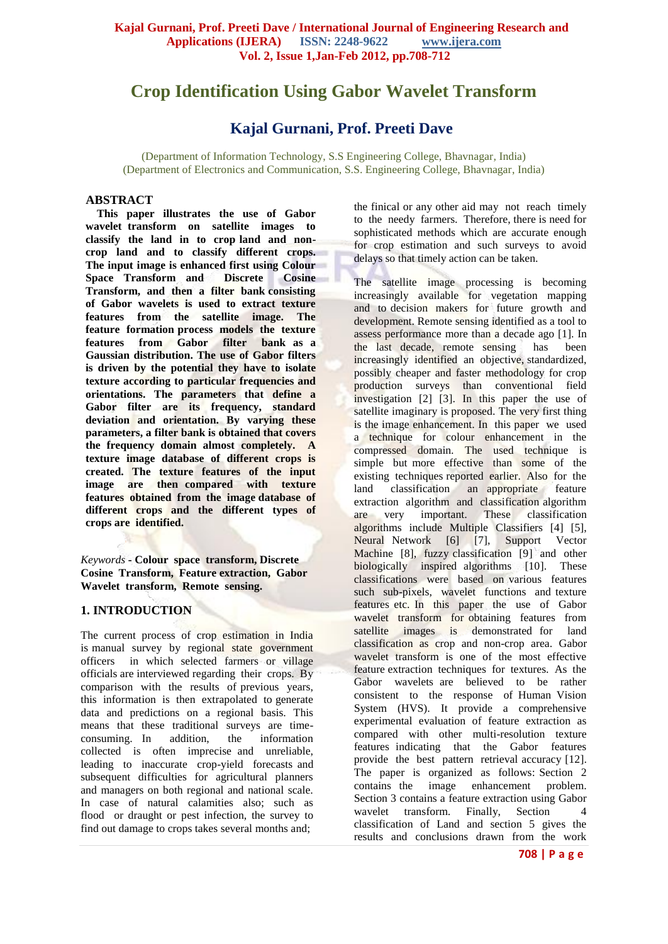# **Crop Identification Using Gabor Wavelet Transform**

## **Kajal Gurnani, Prof. Preeti Dave**

(Department of Information Technology, S.S Engineering College, Bhavnagar, India) (Department of Electronics and Communication, S.S. Engineering College, Bhavnagar, India)

#### **ABSTRACT**

**This paper illustrates the use of Gabor wavelet transform on satellite images to classify the land in to crop land and noncrop land and to classify different crops. The input image is enhanced first using Colour Space Transform and Discrete Cosine Transform, and then a filter bank consisting of Gabor wavelets is used to extract texture features from the satellite image. The feature formation process models the texture features from Gabor filter bank as a Gaussian distribution. The use of Gabor filters is driven by the potential they have to isolate texture according to particular frequencies and orientations. The parameters that define a Gabor filter are its frequency, standard deviation and orientation. By varying these parameters, a filter bank is obtained that covers the frequency domain almost completely. A texture image database of different crops is created. The texture features of the input image are then compared with texture features obtained from the image database of different crops and the different types of crops are identified.**

*Keywords* **- Colour space transform, Discrete Cosine Transform, Feature extraction, Gabor Wavelet transform, Remote sensing.**

#### **1. INTRODUCTION**

The current process of crop estimation in India is manual survey by regional state government officers in which selected farmers or village officials are interviewed regarding their crops. By comparison with the results of previous years, this information is then extrapolated to generate data and predictions on a regional basis. This means that these traditional surveys are timeconsuming. In addition, the information collected is often imprecise and unreliable, leading to inaccurate crop-yield forecasts and subsequent difficulties for agricultural planners and managers on both regional and national scale. In case of natural calamities also; such as flood or draught or pest infection, the survey to find out damage to crops takes several months and;

the finical or any other aid may not reach timely to the needy farmers. Therefore, there is need for sophisticated methods which are accurate enough for crop estimation and such surveys to avoid delays so that timely action can be taken.

The satellite image processing is becoming increasingly available for vegetation mapping and to decision makers for future growth and development. Remote sensing identified as a tool to assess performance more than a decade ago [1]. In the last decade, remote sensing has been increasingly identified an objective, standardized, possibly cheaper and faster methodology for crop production surveys than conventional field investigation [2] [3]. In this paper the use of satellite imaginary is proposed. The very first thing is the image enhancement. In this paper we used a technique for colour enhancement in the compressed domain. The used technique is simple but more effective than some of the existing techniques reported earlier. Also for the land classification an appropriate feature extraction algorithm and classification algorithm are very important. These classification algorithms include Multiple Classifiers [4] [5], Neural Network [6] [7], Support Vector Machine [8], fuzzy classification [9] and other biologically inspired algorithms [10]. These classifications were based on various features such sub-pixels, wavelet functions and texture features etc. In this paper the use of Gabor wavelet transform for obtaining features from satellite images is demonstrated for land classification as crop and non-crop area. Gabor wavelet transform is one of the most effective feature extraction techniques for textures. As the Gabor wavelets are believed to be rather consistent to the response of Human Vision System (HVS). It provide a comprehensive experimental evaluation of feature extraction as compared with other multi-resolution texture features indicating that the Gabor features provide the best pattern retrieval accuracy [12]. The paper is organized as follows: Section 2 contains the image enhancement problem. Section 3 contains a feature extraction using Gabor wavelet transform. Finally, Section 4 classification of Land and section 5 gives the results and conclusions drawn from the work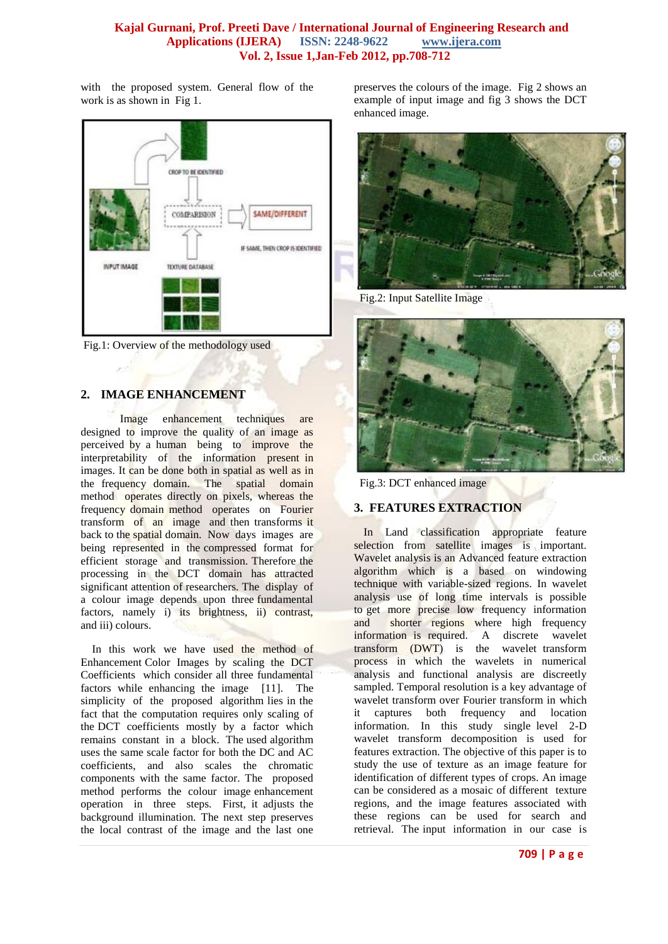with the proposed system. General flow of the work is as shown in Fig 1.



Fig.1: Overview of the methodology used

## **2. IMAGE ENHANCEMENT**

Image enhancement techniques are designed to improve the quality of an image as perceived by a human being to improve the interpretability of the information present in images. It can be done both in spatial as well as in the frequency domain. The spatial domain method operates directly on pixels, whereas the frequency domain method operates on Fourier transform of an image and then transforms it back to the spatial domain. Now days images are being represented in the compressed format for efficient storage and transmission. Therefore the processing in the DCT domain has attracted significant attention of researchers. The display of a colour image depends upon three fundamental factors, namely i) its brightness, ii) contrast, and iii) colours.

In this work we have used the method of Enhancement Color Images by scaling the DCT Coefficients which consider all three fundamental factors while enhancing the image [11]. The simplicity of the proposed algorithm lies in the fact that the computation requires only scaling of the DCT coefficients mostly by a factor which remains constant in a block. The used algorithm uses the same scale factor for both the DC and AC coefficients, and also scales the chromatic components with the same factor. The proposed method performs the colour image enhancement operation in three steps. First, it adjusts the background illumination. The next step preserves the local contrast of the image and the last one

preserves the colours of the image. Fig 2 shows an example of input image and fig 3 shows the DCT enhanced image.



Fig.2: Input Satellite Image



Fig.3: DCT enhanced image

## **3. FEATURES EXTRACTION**

 In Land classification appropriate feature selection from satellite images is important. Wavelet analysis is an Advanced feature extraction algorithm which is a based on windowing technique with variable-sized regions. In wavelet analysis use of long time intervals is possible to get more precise low frequency information and shorter regions where high frequency information is required. A discrete wavelet transform (DWT) is the wavelet transform process in which the wavelets in numerical analysis and functional analysis are discreetly sampled. Temporal resolution is a key advantage of wavelet transform over Fourier transform in which it captures both frequency and location information. In this study single level 2-D wavelet transform decomposition is used for features extraction. The objective of this paper is to study the use of texture as an image feature for identification of different types of crops. An image can be considered as a mosaic of different texture regions, and the image features associated with these regions can be used for search and retrieval. The input information in our case is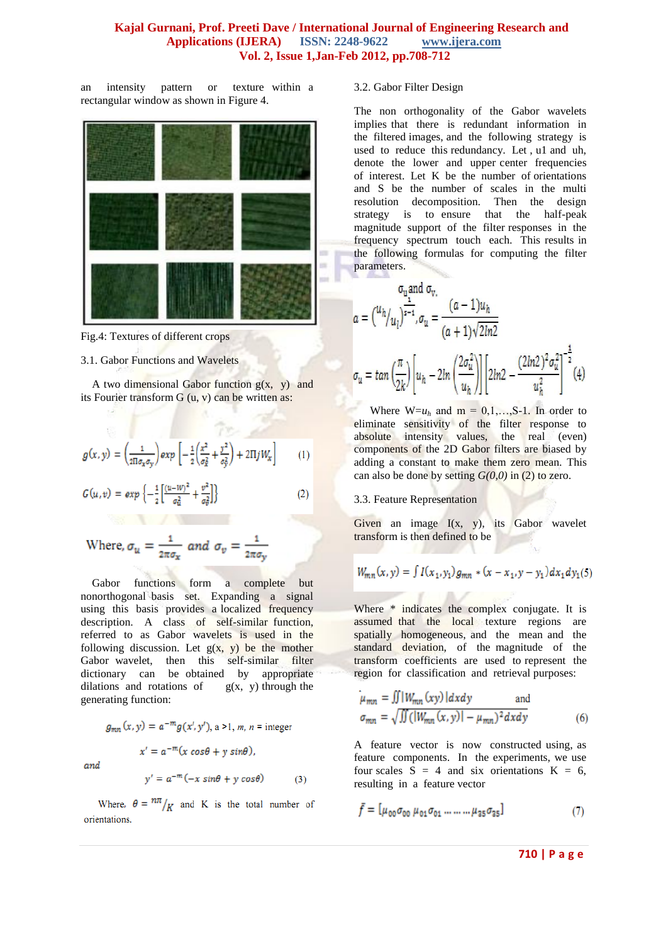an intensity pattern or texture within a rectangular window as shown in Figure 4.



Fig.4: Textures of different crops

#### 3.1. Gabor Functions and Wavelets

A two dimensional Gabor function  $g(x, y)$  and its Fourier transform  $G(u, v)$  can be written as:

$$
g(x,y)=\left(\frac{1}{2\Pi\sigma_x\sigma_y}\right)exp\left[-\frac{1}{2}\left(\frac{x^2}{\sigma_x^2}+\frac{y^2}{\sigma_y^2}\right)+2\Pi jW_x\right] \qquad (1)
$$

 $rr - \epsilon$ 

$$
G(u,v) = exp \left\{-\frac{1}{2} \left[ \frac{(u - w)^2}{\sigma_u^2} + \frac{v^2}{\sigma_v^2} \right] \right\}
$$
 (2)

Where, 
$$
\sigma_u = \frac{1}{2\pi\sigma_x}
$$
 and  $\sigma_v = \frac{1}{2\pi\sigma_y}$ 

Gabor functions form a complete but nonorthogonal basis set. Expanding a signal using this basis provides a localized frequency description. A class of self-similar function, referred to as Gabor wavelets is used in the following discussion. Let  $g(x, y)$  be the mother Gabor wavelet, then this self-similar filter dictionary can be obtained by appropriate dilations and rotations of  $g(x, y)$  through the generating function:

$$
g_{mn}(x, y) = a^{-m}g(x', y'), a > 1, m, n = \text{integer}
$$

$$
x' = a^{-m}(x \cos\theta + y \sin\theta),
$$

and

$$
y' = a^{-m}(-x \sin\theta + y \cos\theta) \tag{3}
$$

Where,  $\theta = \frac{n\pi}{K}$  and K is the total number of orientations.

#### 3.2. Gabor Filter Design

The non orthogonality of the Gabor wavelets implies that there is redundant information in the filtered images, and the following strategy is used to reduce this redundancy. Let , u1 and uh, denote the lower and upper center frequencies of interest. Let K be the number of orientations and S be the number of scales in the multi resolution decomposition. Then the design strategy is to ensure that the half-peak magnitude support of the filter responses in the frequency spectrum touch each. This results in the following formulas for computing the filter parameters.

$$
\sigma_u \text{ and } \sigma_v,
$$
\n
$$
a = \left(\frac{u_h}{u_l}\right)^{\frac{1}{s-1}}, \sigma_u = \frac{(a-1)u_h}{(a+1)\sqrt{2ln2}}
$$
\n
$$
\sigma_u = \tan\left(\frac{\pi}{2k}\right) \left[u_h - 2\ln\left(\frac{2\sigma_u^2}{u_h}\right)\right] \left[2\ln2 - \frac{(2\ln2)^2 \sigma_u^2}{u_h^2}\right]^{-\frac{1}{2}}(4)
$$

Where  $W=u_h$  and  $m = 0,1,...,S-1$ . In order to eliminate sensitivity of the filter response to absolute intensity values, the real (even) components of the 2D Gabor filters are biased by adding a constant to make them zero mean. This can also be done by setting  $G(0,0)$  in (2) to zero.

#### 3.3. Feature Representation

Given an image  $I(x, y)$ , its Gabor wavelet transform is then defined to be

$$
W_{mn}(x,y)=\int I(x_1,y_1)g_{mn}*(x-x_1,y-y_1)dx_1dy_1(5)
$$

Where \* indicates the complex conjugate. It is assumed that the local texture regions are spatially homogeneous, and the mean and the standard deviation, of the magnitude of the transform coefficients are used to represent the region for classification and retrieval purposes:

$$
\mu_{mn} = \iiint W_{mn}(xy) |dxdy \qquad \text{and}
$$

$$
\sigma_{mn} = \sqrt{\iint (|W_{mn}(x,y)| - \mu_{mn})^2 dxdy} \tag{6}
$$

A feature vector is now constructed using, as feature components. In the experiments, we use four scales  $S = 4$  and six orientations  $K = 6$ , resulting in a feature vector

$$
\bar{f} = [\mu_{00}\sigma_{00}\,\mu_{01}\sigma_{01}\,...\,...\,\mu_{25}\sigma_{25}] \tag{7}
$$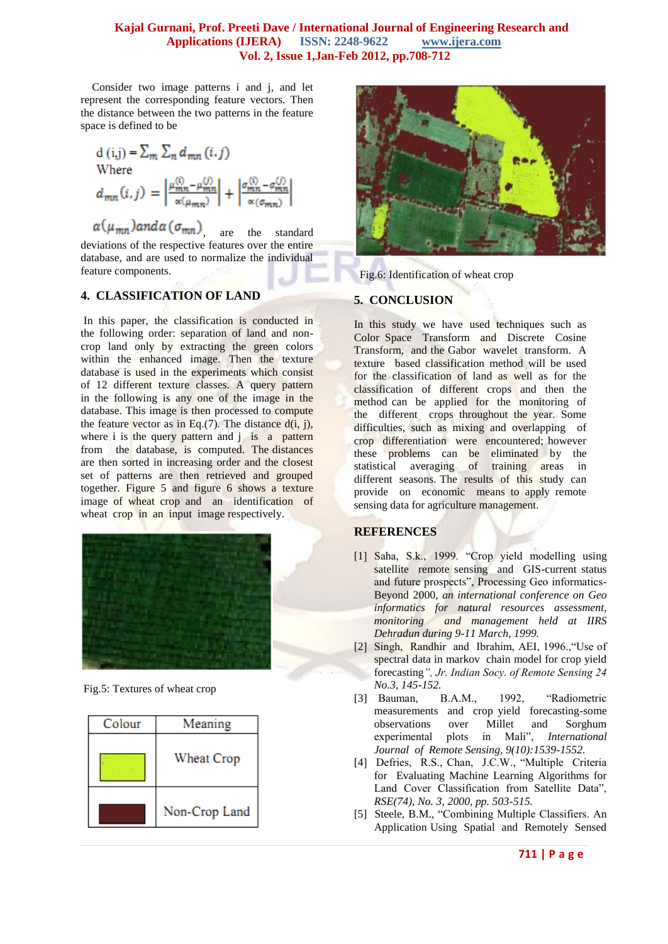Consider two image patterns i and j, and let represent the corresponding feature vectors. Then the distance between the two patterns in the feature space is defined to be

d (i,j) = 
$$
\sum_m \sum_n d_{mn} (i, j)
$$
  
Where  

$$
d_{mn} (i, j) = \left| \frac{\mu_{mn}^{(i)} - \mu_{mn}^{(j)}}{\alpha(\mu_{mn})} \right| + \left| \frac{\sigma_{mn}^{(i)} - \sigma_{mn}^{(j)}}{\alpha(\sigma_{mn})} \right|
$$

 $\alpha(\mu_{mn})$ and $\alpha(\sigma_{mn})$  are the standard deviations of the respective features over the entire database, and are used to normalize the individual feature components.

### **4. CLASSIFICATION OF LAND**

In this paper, the classification is conducted in the following order: separation of land and noncrop land only by extracting the green colors within the enhanced image. Then the texture database is used in the experiments which consist of 12 different texture classes. A query pattern in the following is any one of the image in the database. This image is then processed to compute the feature vector as in Eq.(7). The distance  $d(i, j)$ , where i is the query pattern and j is a pattern from the database, is computed. The distances are then sorted in increasing order and the closest set of patterns are then retrieved and grouped together. Figure 5 and figure 6 shows a texture image of wheat crop and an identification of wheat crop in an input image respectively.



Fig.5: Textures of wheat crop

| Colour | Meaning       |
|--------|---------------|
|        | Wheat Crop    |
|        | Non-Crop Land |



Fig.6: Identification of wheat crop

## **5. CONCLUSION**

In this study we have used techniques such as Color Space Transform and Discrete Cosine Transform, and the Gabor wavelet transform. A texture based classification method will be used for the classification of land as well as for the classification of different crops and then the method can be applied for the monitoring of the different crops throughout the year. Some difficulties, such as mixing and overlapping of crop differentiation were encountered; however these problems can be eliminated by the statistical averaging of training areas in different seasons. The results of this study can provide on economic means to apply remote sensing data for agriculture management.

## **REFERENCES**

- [1] Saha, S.k., 1999. "Crop yield modelling using satellite remote sensing and GIS-current status and future prospects", Processing Geo informatics-Beyond 2000, *an international conference on Geo informatics for natural resources assessment,*  and management held at IIRS *Dehradun during 9-11 March, 1999.*
- [2] Singh, Randhir and Ibrahim, AEI, 1996.,"Use of spectral data in markov chain model for crop yield forecasting*", Jr. Indian Socy. of Remote Sensing 24 No.3, 145-152.*
- [3] Bauman, B.A.M., 1992, "Radiometric measurements and crop yield forecasting-some observations over Millet and Sorghum experimental plots in Mali", *International Journal of Remote Sensing, 9(10):1539-1552.*
- [4] Defries, R.S., Chan, J.C.W., "Multiple Criteria for Evaluating Machine Learning Algorithms for Land Cover Classification from Satellite Data", *RSE(74), No. 3, 2000, pp. 503-515.*
- [5] Steele, B.M., "Combining Multiple Classifiers. An Application Using Spatial and Remotely Sensed